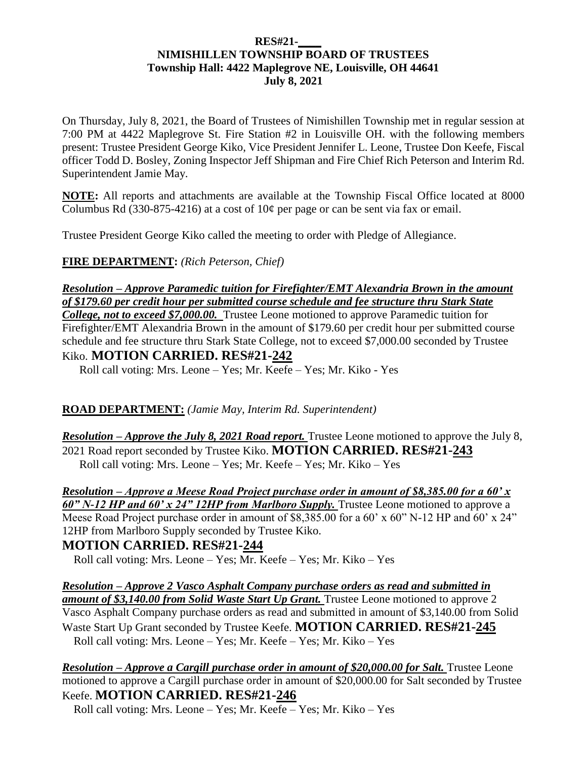#### **RES#21-\_\_\_\_ NIMISHILLEN TOWNSHIP BOARD OF TRUSTEES Township Hall: 4422 Maplegrove NE, Louisville, OH 44641 July 8, 2021**

On Thursday, July 8, 2021, the Board of Trustees of Nimishillen Township met in regular session at 7:00 PM at 4422 Maplegrove St. Fire Station #2 in Louisville OH. with the following members present: Trustee President George Kiko, Vice President Jennifer L. Leone, Trustee Don Keefe, Fiscal officer Todd D. Bosley, Zoning Inspector Jeff Shipman and Fire Chief Rich Peterson and Interim Rd. Superintendent Jamie May.

**NOTE:** All reports and attachments are available at the Township Fiscal Office located at 8000 Columbus Rd (330-875-4216) at a cost of  $10¢$  per page or can be sent via fax or email.

Trustee President George Kiko called the meeting to order with Pledge of Allegiance.

**FIRE DEPARTMENT:** *(Rich Peterson, Chief)*

*Resolution – Approve Paramedic tuition for Firefighter/EMT Alexandria Brown in the amount of \$179.60 per credit hour per submitted course schedule and fee structure thru Stark State* 

*College, not to exceed \$7,000.00.* Trustee Leone motioned to approve Paramedic tuition for Firefighter/EMT Alexandria Brown in the amount of \$179.60 per credit hour per submitted course schedule and fee structure thru Stark State College, not to exceed \$7,000.00 seconded by Trustee Kiko. **MOTION CARRIED. RES#21-242**

### Roll call voting: Mrs. Leone – Yes; Mr. Keefe – Yes; Mr. Kiko - Yes

**ROAD DEPARTMENT:** *(Jamie May, Interim Rd. Superintendent)*

*Resolution – Approve the July 8, 2021 Road report.* Trustee Leone motioned to approve the July 8, 2021 Road report seconded by Trustee Kiko. **MOTION CARRIED. RES#21-243** Roll call voting: Mrs. Leone – Yes; Mr. Keefe – Yes; Mr. Kiko – Yes

*Resolution – Approve a Meese Road Project purchase order in amount of \$8,385.00 for a 60' x 60" N-12 HP and 60' x 24" 12HP from Marlboro Supply.* Trustee Leone motioned to approve a Meese Road Project purchase order in amount of \$8,385.00 for a 60' x 60" N-12 HP and 60' x 24" 12HP from Marlboro Supply seconded by Trustee Kiko.

## **MOTION CARRIED. RES#21-244**

Roll call voting: Mrs. Leone – Yes; Mr. Keefe – Yes; Mr. Kiko – Yes

*Resolution – Approve 2 Vasco Asphalt Company purchase orders as read and submitted in amount of \$3,140.00 from Solid Waste Start Up Grant.* Trustee Leone motioned to approve 2 Vasco Asphalt Company purchase orders as read and submitted in amount of \$3,140.00 from Solid Waste Start Up Grant seconded by Trustee Keefe. **MOTION CARRIED. RES#21-245**  Roll call voting: Mrs. Leone – Yes; Mr. Keefe – Yes; Mr. Kiko – Yes

*Resolution – Approve a Cargill purchase order in amount of \$20,000.00 for Salt. Trustee Leone* motioned to approve a Cargill purchase order in amount of \$20,000.00 for Salt seconded by Trustee Keefe. **MOTION CARRIED. RES#21-246** 

Roll call voting: Mrs. Leone – Yes; Mr. Keefe – Yes; Mr. Kiko – Yes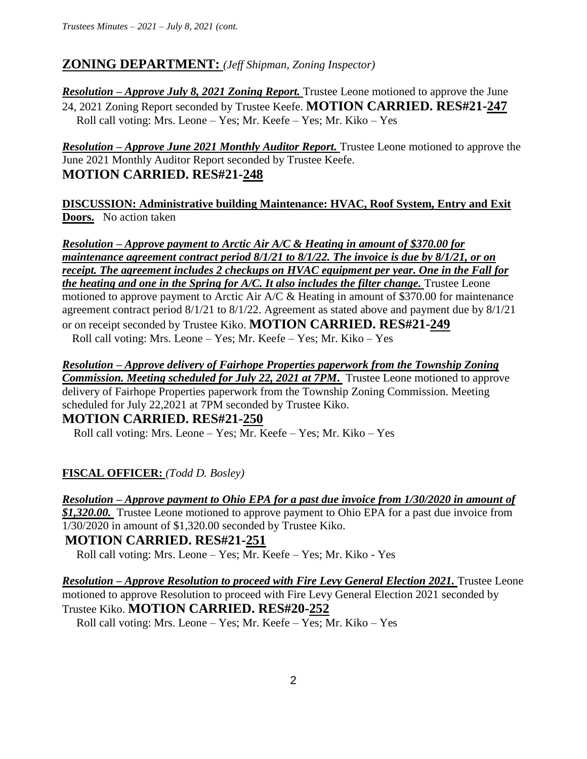# **ZONING DEPARTMENT:** *(Jeff Shipman, Zoning Inspector)*

*Resolution – Approve July 8, 2021 Zoning Report.* Trustee Leone motioned to approve the June 24, 2021 Zoning Report seconded by Trustee Keefe. **MOTION CARRIED. RES#21-247** Roll call voting: Mrs. Leone – Yes; Mr. Keefe – Yes; Mr. Kiko – Yes

*Resolution – Approve June 2021 Monthly Auditor Report.* Trustee Leone motioned to approve the June 2021 Monthly Auditor Report seconded by Trustee Keefe. **MOTION CARRIED. RES#21-248**

**DISCUSSION: Administrative building Maintenance: HVAC, Roof System, Entry and Exit Doors.** No action taken

*Resolution – Approve payment to Arctic Air A/C & Heating in amount of \$370.00 for maintenance agreement contract period 8/1/21 to 8/1/22. The invoice is due by 8/1/21, or on receipt. The agreement includes 2 checkups on HVAC equipment per year. One in the Fall for the heating and one in the Spring for A/C. It also includes the filter change.* Trustee Leone motioned to approve payment to Arctic Air A/C & Heating in amount of \$370.00 for maintenance agreement contract period 8/1/21 to 8/1/22. Agreement as stated above and payment due by 8/1/21 or on receipt seconded by Trustee Kiko. **MOTION CARRIED. RES#21-249** Roll call voting: Mrs. Leone – Yes; Mr. Keefe – Yes; Mr. Kiko – Yes

*Resolution – Approve delivery of Fairhope Properties paperwork from the Township Zoning Commission. Meeting scheduled for July 22, 2021 at 7PM.* Trustee Leone motioned to approve delivery of Fairhope Properties paperwork from the Township Zoning Commission. Meeting scheduled for July 22,2021 at 7PM seconded by Trustee Kiko.

## **MOTION CARRIED. RES#21-250**

Roll call voting: Mrs. Leone – Yes; Mr. Keefe – Yes; Mr. Kiko – Yes

### **FISCAL OFFICER:** *(Todd D. Bosley)*

*Resolution – Approve payment to Ohio EPA for a past due invoice from 1/30/2020 in amount of \$1,320.00.* Trustee Leone motioned to approve payment to Ohio EPA for a past due invoice from 1/30/2020 in amount of \$1,320.00 seconded by Trustee Kiko.

### **MOTION CARRIED. RES#21-251**

Roll call voting: Mrs. Leone – Yes; Mr. Keefe – Yes; Mr. Kiko - Yes

*Resolution – Approve Resolution to proceed with Fire Levy General Election 2021. Trustee Leone* motioned to approve Resolution to proceed with Fire Levy General Election 2021 seconded by Trustee Kiko. **MOTION CARRIED. RES#20-252**

Roll call voting: Mrs. Leone – Yes; Mr. Keefe – Yes; Mr. Kiko – Yes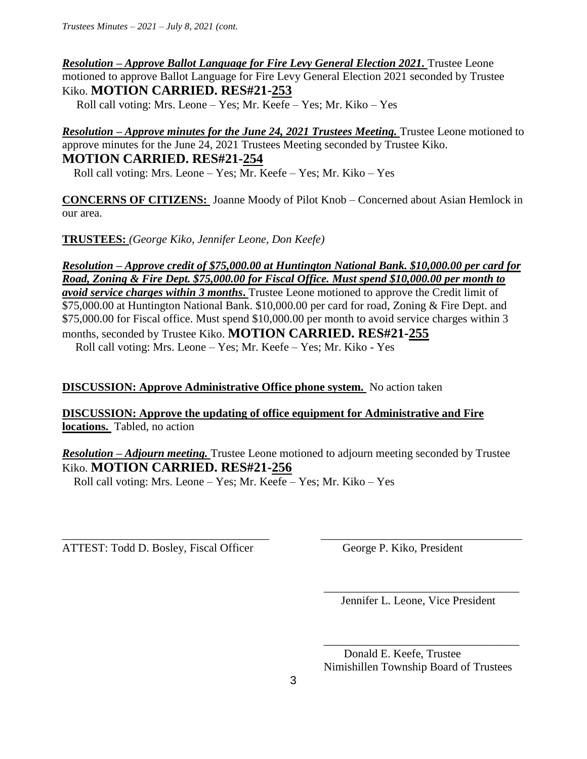*Resolution – Approve Ballot Language for Fire Levy General Election 2021.* Trustee Leone motioned to approve Ballot Language for Fire Levy General Election 2021 seconded by Trustee Kiko. **MOTION CARRIED. RES#21-253**

Roll call voting: Mrs. Leone – Yes; Mr. Keefe – Yes; Mr. Kiko – Yes

*Resolution – Approve minutes for the June 24, 2021 Trustees Meeting.* Trustee Leone motioned to approve minutes for the June 24, 2021 Trustees Meeting seconded by Trustee Kiko. **MOTION CARRIED. RES#21-254**

Roll call voting: Mrs. Leone – Yes; Mr. Keefe – Yes; Mr. Kiko – Yes

**CONCERNS OF CITIZENS:** Joanne Moody of Pilot Knob – Concerned about Asian Hemlock in our area.

**TRUSTEES:** *(George Kiko, Jennifer Leone, Don Keefe)*

*Resolution* **–** *Approve credit of \$75,000.00 at Huntington National Bank. \$10,000.00 per card for Road, Zoning & Fire Dept. \$75,000.00 for Fiscal Office. Must spend \$10,000.00 per month to avoid service charges within 3 months***.** Trustee Leone motioned to approve the Credit limit of \$75,000.00 at Huntington National Bank. \$10,000.00 per card for road, Zoning & Fire Dept. and \$75,000.00 for Fiscal office. Must spend \$10,000.00 per month to avoid service charges within 3 months, seconded by Trustee Kiko. **MOTION CARRIED. RES#21-255** 

Roll call voting: Mrs. Leone – Yes; Mr. Keefe – Yes; Mr. Kiko - Yes

### **DISCUSSION: Approve Administrative Office phone system.** No action taken

**DISCUSSION: Approve the updating of office equipment for Administrative and Fire locations.** Tabled, no action

*Resolution – Adjourn meeting.* Trustee Leone motioned to adjourn meeting seconded by Trustee Kiko. **MOTION CARRIED. RES#21-256**

\_\_\_\_\_\_\_\_\_\_\_\_\_\_\_\_\_\_\_\_\_\_\_\_\_\_\_\_\_\_\_\_\_\_\_\_ \_\_\_\_\_\_\_\_\_\_\_\_\_\_\_\_\_\_\_\_\_\_\_\_\_\_\_\_\_\_\_\_\_\_\_

 $\overline{\phantom{a}}$  , which is a set of the contract of the contract of the contract of the contract of the contract of the contract of the contract of the contract of the contract of the contract of the contract of the contract

Roll call voting: Mrs. Leone – Yes; Mr. Keefe – Yes; Mr. Kiko – Yes

ATTEST: Todd D. Bosley, Fiscal Officer George P. Kiko, President

Jennifer L. Leone, Vice President

 Donald E. Keefe, Trustee Nimishillen Township Board of Trustees

 $\overline{\phantom{a}}$  , and the contract of the contract of the contract of the contract of the contract of the contract of the contract of the contract of the contract of the contract of the contract of the contract of the contrac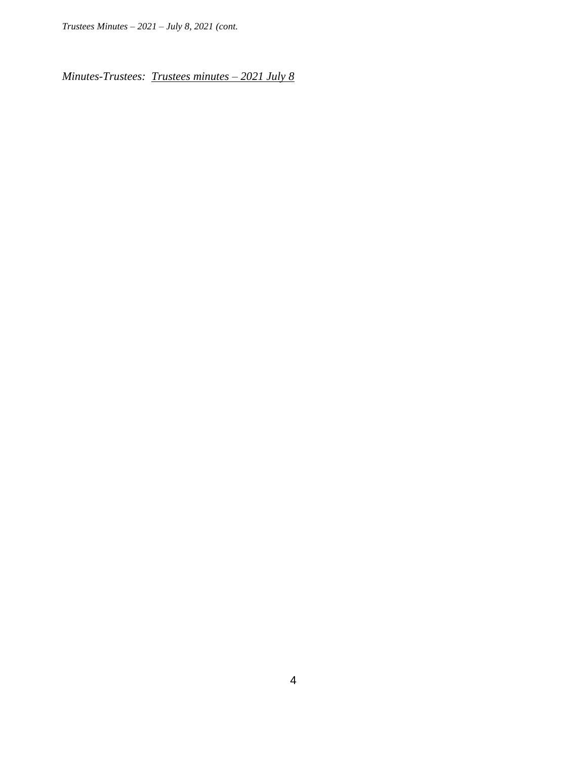*Trustees Minutes – 2021 – July 8, 2021 (cont.*

*Minutes-Trustees: Trustees minutes – 2021 July 8*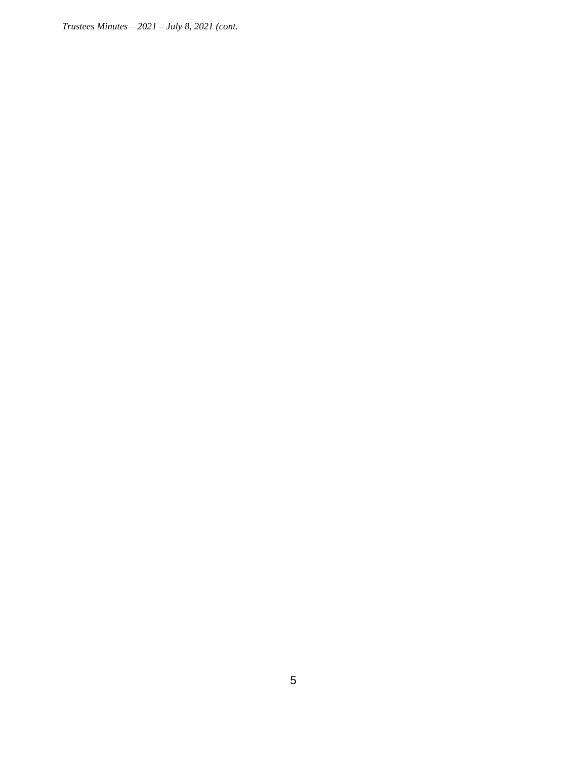*Trustees Minutes – 2021 – July 8, 2021 (cont.*